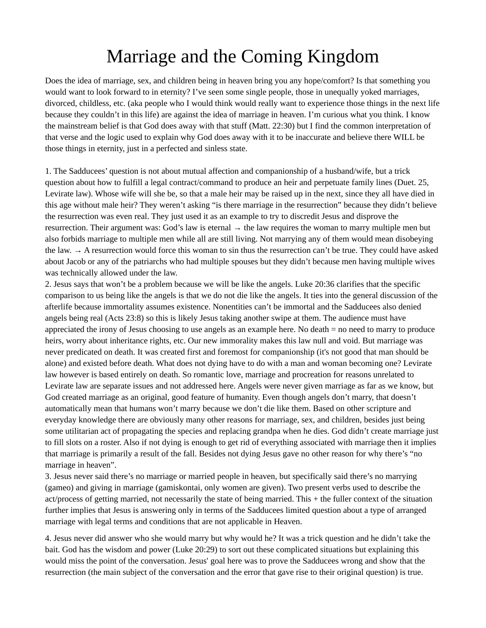## Marriage and the Coming Kingdom

Does the idea of marriage, sex, and children being in heaven bring you any hope/comfort? Is that something you would want to look forward to in eternity? I've seen some single people, those in unequally yoked marriages, divorced, childless, etc. (aka people who I would think would really want to experience those things in the next life because they couldn't in this life) are against the idea of marriage in heaven. I'm curious what you think. I know the mainstream belief is that God does away with that stuff (Matt. 22:30) but I find the common interpretation of that verse and the logic used to explain why God does away with it to be inaccurate and believe there WILL be those things in eternity, just in a perfected and sinless state.

1. The Sadducees' question is not about mutual affection and companionship of a husband/wife, but a trick question about how to fulfill a legal contract/command to produce an heir and perpetuate family lines (Duet. 25, Levirate law). Whose wife will she be, so that a male heir may be raised up in the next, since they all have died in this age without male heir? They weren't asking "is there marriage in the resurrection" because they didn't believe the resurrection was even real. They just used it as an example to try to discredit Jesus and disprove the resurrection. Their argument was: God's law is eternal  $\rightarrow$  the law requires the woman to marry multiple men but also forbids marriage to multiple men while all are still living. Not marrying any of them would mean disobeying the law. → A resurrection would force this woman to sin thus the resurrection can't be true. They could have asked about Jacob or any of the patriarchs who had multiple spouses but they didn't because men having multiple wives was technically allowed under the law.

2. Jesus says that won't be a problem because we will be like the angels. Luke 20:36 clarifies that the specific comparison to us being like the angels is that we do not die like the angels. It ties into the general discussion of the afterlife because immortality assumes existence. Nonentities can't be immortal and the Sadducees also denied angels being real (Acts 23:8) so this is likely Jesus taking another swipe at them. The audience must have appreciated the irony of Jesus choosing to use angels as an example here. No death = no need to marry to produce heirs, worry about inheritance rights, etc. Our new immorality makes this law null and void. But marriage was never predicated on death. It was created first and foremost for companionship (it's not good that man should be alone) and existed before death. What does not dying have to do with a man and woman becoming one? Levirate law however is based entirely on death. So romantic love, marriage and procreation for reasons unrelated to Levirate law are separate issues and not addressed here. Angels were never given marriage as far as we know, but God created marriage as an original, good feature of humanity. Even though angels don't marry, that doesn't automatically mean that humans won't marry because we don't die like them. Based on other scripture and everyday knowledge there are obviously many other reasons for marriage, sex, and children, besides just being some utilitarian act of propagating the species and replacing grandpa when he dies. God didn't create marriage just to fill slots on a roster. Also if not dying is enough to get rid of everything associated with marriage then it implies that marriage is primarily a result of the fall. Besides not dying Jesus gave no other reason for why there's "no marriage in heaven".

3. Jesus never said there's no marriage or married people in heaven, but specifically said there's no marrying (gameo) and giving in marriage (gamiskontai, only women are given). Two present verbs used to describe the act/process of getting married, not necessarily the state of being married. This + the fuller context of the situation further implies that Jesus is answering only in terms of the Sadducees limited question about a type of arranged marriage with legal terms and conditions that are not applicable in Heaven.

4. Jesus never did answer who she would marry but why would he? It was a trick question and he didn't take the bait. God has the wisdom and power (Luke 20:29) to sort out these complicated situations but explaining this would miss the point of the conversation. Jesus' goal here was to prove the Sadducees wrong and show that the resurrection (the main subject of the conversation and the error that gave rise to their original question) is true.